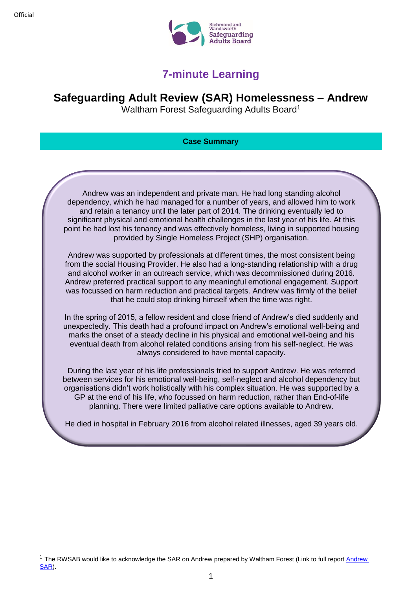# **7-minute Learning**

## **Safeguarding Adult Review (SAR) Homelessness – Andrew**

Waltham Forest Safeguarding Adults Board<sup>1</sup>

## **Case Summary**

Andrew was an independent and private man. He had long standing alcohol dependency, which he had managed for a number of years, and allowed him to work and retain a tenancy until the later part of 2014. The drinking eventually led to significant physical and emotional health challenges in the last year of his life. At this point he had lost his tenancy and was effectively homeless, living in supported housing provided by Single Homeless Project (SHP) organisation.

Andrew was supported by professionals at different times, the most consistent being from the social Housing Provider. He also had a long-standing relationship with a drug and alcohol worker in an outreach service, which was decommissioned during 2016. Andrew preferred practical support to any meaningful emotional engagement. Support was focussed on harm reduction and practical targets. Andrew was firmly of the belief that he could stop drinking himself when the time was right.

In the spring of 2015, a fellow resident and close friend of Andrew's died suddenly and unexpectedly. This death had a profound impact on Andrew's emotional well-being and marks the onset of a steady decline in his physical and emotional well-being and his eventual death from alcohol related conditions arising from his self-neglect. He was always considered to have mental capacity.

During the last year of his life professionals tried to support Andrew. He was referred between services for his emotional well-being, self-neglect and alcohol dependency but organisations didn't work holistically with his complex situation. He was supported by a GP at the end of his life, who focussed on harm reduction, rather than End-of-life planning. There were limited palliative care options available to Andrew.

He died in hospital in February 2016 from alcohol related illnesses, aged 39 years old.

**<sup>.</sup>** <sup>1</sup> The RWSAB would like to acknowledge the SAR on [Andrew](https://search3.openobjects.com/mediamanager/walthamforest/fsd/files/safeguarding_adults_review_andrew_board_response.pdf) prepared by Waltham Forest (Link to full report Andrew [SAR\)](https://search3.openobjects.com/mediamanager/walthamforest/fsd/files/safeguarding_adults_review_andrew_board_response.pdf).